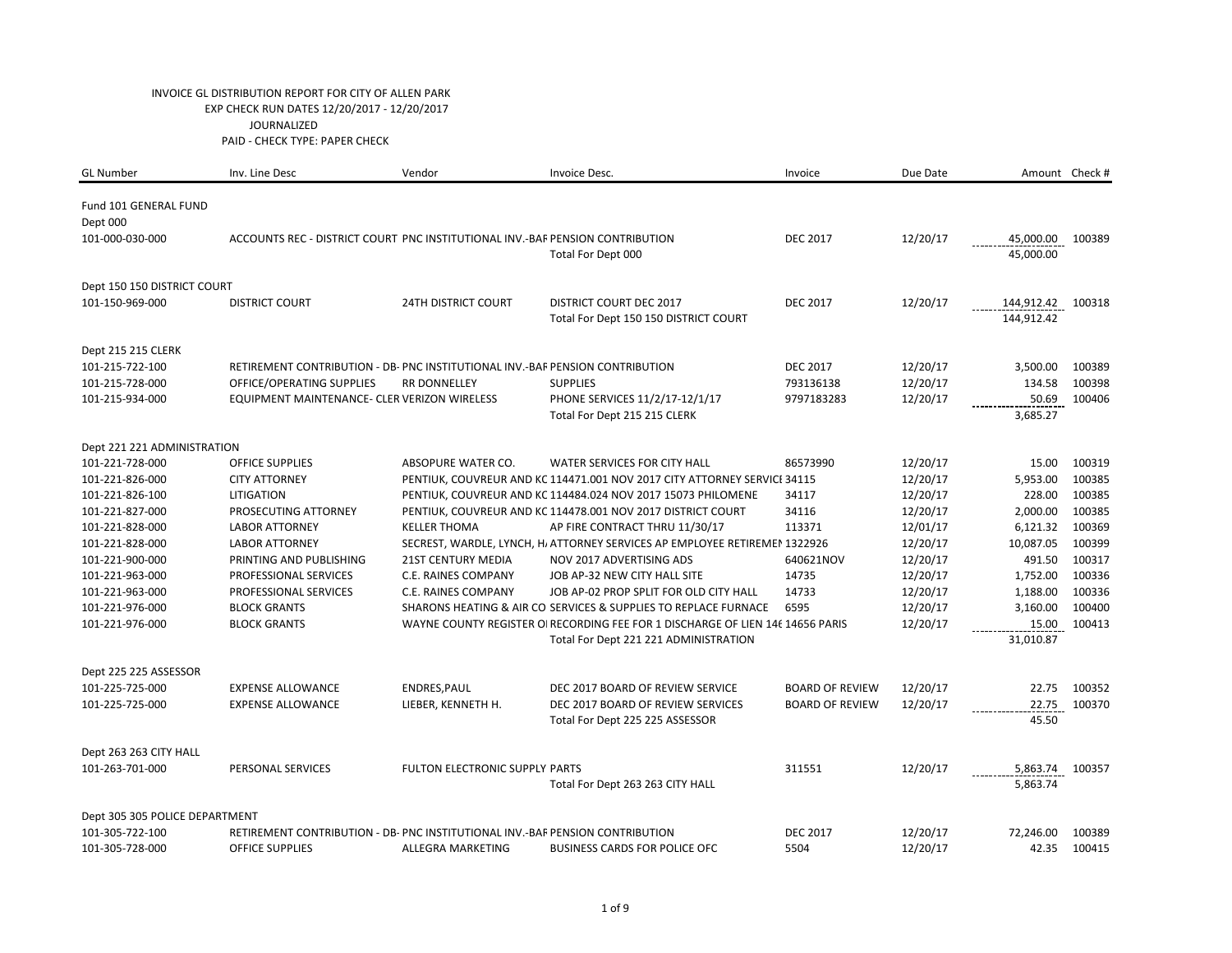| <b>GL Number</b>                      | Inv. Line Desc                                                                | Vendor                         | Invoice Desc.                                                                  | Invoice                | Due Date |            | Amount Check # |
|---------------------------------------|-------------------------------------------------------------------------------|--------------------------------|--------------------------------------------------------------------------------|------------------------|----------|------------|----------------|
| Fund 101 GENERAL FUND                 |                                                                               |                                |                                                                                |                        |          |            |                |
| Dept 000                              |                                                                               |                                |                                                                                |                        |          |            |                |
| 101-000-030-000                       | ACCOUNTS REC - DISTRICT COURT PNC INSTITUTIONAL INV.-BAF PENSION CONTRIBUTION |                                |                                                                                | <b>DEC 2017</b>        | 12/20/17 | 45,000.00  | 100389         |
|                                       |                                                                               |                                | Total For Dept 000                                                             |                        |          | 45,000.00  |                |
|                                       |                                                                               |                                |                                                                                |                        |          |            |                |
| Dept 150 150 DISTRICT COURT           |                                                                               |                                |                                                                                |                        |          |            |                |
| 101-150-969-000                       | <b>DISTRICT COURT</b>                                                         | <b>24TH DISTRICT COURT</b>     | <b>DISTRICT COURT DEC 2017</b>                                                 | <b>DEC 2017</b>        | 12/20/17 | 144,912.42 | 100318         |
|                                       |                                                                               |                                | Total For Dept 150 150 DISTRICT COURT                                          |                        |          | 144,912.42 |                |
|                                       |                                                                               |                                |                                                                                |                        |          |            |                |
| Dept 215 215 CLERK<br>101-215-722-100 | RETIREMENT CONTRIBUTION - DB- PNC INSTITUTIONAL INV.-BAF PENSION CONTRIBUTION |                                |                                                                                | <b>DEC 2017</b>        | 12/20/17 | 3,500.00   | 100389         |
| 101-215-728-000                       | OFFICE/OPERATING SUPPLIES                                                     | <b>RR DONNELLEY</b>            | <b>SUPPLIES</b>                                                                | 793136138              | 12/20/17 | 134.58     | 100398         |
| 101-215-934-000                       | EQUIPMENT MAINTENANCE- CLER VERIZON WIRELESS                                  |                                | PHONE SERVICES 11/2/17-12/1/17                                                 | 9797183283             | 12/20/17 | 50.69      | 100406         |
|                                       |                                                                               |                                | Total For Dept 215 215 CLERK                                                   |                        |          | 3,685.27   |                |
|                                       |                                                                               |                                |                                                                                |                        |          |            |                |
| Dept 221 221 ADMINISTRATION           |                                                                               |                                |                                                                                |                        |          |            |                |
| 101-221-728-000                       | <b>OFFICE SUPPLIES</b>                                                        | ABSOPURE WATER CO.             | WATER SERVICES FOR CITY HALL                                                   | 86573990               | 12/20/17 | 15.00      | 100319         |
| 101-221-826-000                       | <b>CITY ATTORNEY</b>                                                          |                                | PENTIUK, COUVREUR AND KC 114471.001 NOV 2017 CITY ATTORNEY SERVICI 34115       |                        | 12/20/17 | 5,953.00   | 100385         |
| 101-221-826-100                       | <b>LITIGATION</b>                                                             |                                | PENTIUK, COUVREUR AND KC 114484.024 NOV 2017 15073 PHILOMENE                   | 34117                  | 12/20/17 | 228.00     | 100385         |
| 101-221-827-000                       | PROSECUTING ATTORNEY                                                          |                                | PENTIUK, COUVREUR AND KC 114478.001 NOV 2017 DISTRICT COURT                    | 34116                  | 12/20/17 | 2,000.00   | 100385         |
| 101-221-828-000                       | <b>LABOR ATTORNEY</b>                                                         | <b>KELLER THOMA</b>            | AP FIRE CONTRACT THRU 11/30/17                                                 | 113371                 | 12/01/17 | 6,121.32   | 100369         |
| 101-221-828-000                       | <b>LABOR ATTORNEY</b>                                                         |                                | SECREST, WARDLE, LYNCH, H, ATTORNEY SERVICES AP EMPLOYEE RETIREMEN 1322926     |                        | 12/20/17 | 10,087.05  | 100399         |
| 101-221-900-000                       | PRINTING AND PUBLISHING                                                       | <b>21ST CENTURY MEDIA</b>      | NOV 2017 ADVERTISING ADS                                                       | 640621NOV              | 12/20/17 | 491.50     | 100317         |
| 101-221-963-000                       | PROFESSIONAL SERVICES                                                         | C.E. RAINES COMPANY            | JOB AP-32 NEW CITY HALL SITE                                                   | 14735                  | 12/20/17 | 1,752.00   | 100336         |
| 101-221-963-000                       | PROFESSIONAL SERVICES                                                         | C.E. RAINES COMPANY            | JOB AP-02 PROP SPLIT FOR OLD CITY HALL                                         | 14733                  | 12/20/17 | 1,188.00   | 100336         |
| 101-221-976-000                       | <b>BLOCK GRANTS</b>                                                           |                                | SHARONS HEATING & AIR CO SERVICES & SUPPLIES TO REPLACE FURNACE                | 6595                   | 12/20/17 | 3,160.00   | 100400         |
| 101-221-976-000                       | <b>BLOCK GRANTS</b>                                                           |                                | WAYNE COUNTY REGISTER OI RECORDING FEE FOR 1 DISCHARGE OF LIEN 146 14656 PARIS |                        | 12/20/17 | 15.00      | 100413         |
|                                       |                                                                               |                                | Total For Dept 221 221 ADMINISTRATION                                          |                        |          | 31,010.87  |                |
| Dept 225 225 ASSESSOR                 |                                                                               |                                |                                                                                |                        |          |            |                |
| 101-225-725-000                       | <b>EXPENSE ALLOWANCE</b>                                                      | ENDRES, PAUL                   | DEC 2017 BOARD OF REVIEW SERVICE                                               | <b>BOARD OF REVIEW</b> | 12/20/17 | 22.75      | 100352         |
| 101-225-725-000                       | <b>EXPENSE ALLOWANCE</b>                                                      | LIEBER, KENNETH H.             | DEC 2017 BOARD OF REVIEW SERVICES                                              | <b>BOARD OF REVIEW</b> | 12/20/17 | 22.75      | 100370         |
|                                       |                                                                               |                                | Total For Dept 225 225 ASSESSOR                                                |                        |          | 45.50      |                |
| Dept 263 263 CITY HALL                |                                                                               |                                |                                                                                |                        |          |            |                |
| 101-263-701-000                       | PERSONAL SERVICES                                                             | FULTON ELECTRONIC SUPPLY PARTS |                                                                                | 311551                 | 12/20/17 | 5,863.74   | 100357         |
|                                       |                                                                               |                                | Total For Dept 263 263 CITY HALL                                               |                        |          | 5,863.74   |                |
|                                       |                                                                               |                                |                                                                                |                        |          |            |                |
| Dept 305 305 POLICE DEPARTMENT        |                                                                               |                                |                                                                                |                        |          |            |                |
| 101-305-722-100                       | RETIREMENT CONTRIBUTION - DB- PNC INSTITUTIONAL INV.-BAF PENSION CONTRIBUTION |                                |                                                                                | <b>DEC 2017</b>        | 12/20/17 | 72,246.00  | 100389         |
| 101-305-728-000                       | <b>OFFICE SUPPLIES</b>                                                        | ALLEGRA MARKETING              | <b>BUSINESS CARDS FOR POLICE OFC</b>                                           | 5504                   | 12/20/17 | 42.35      | 100415         |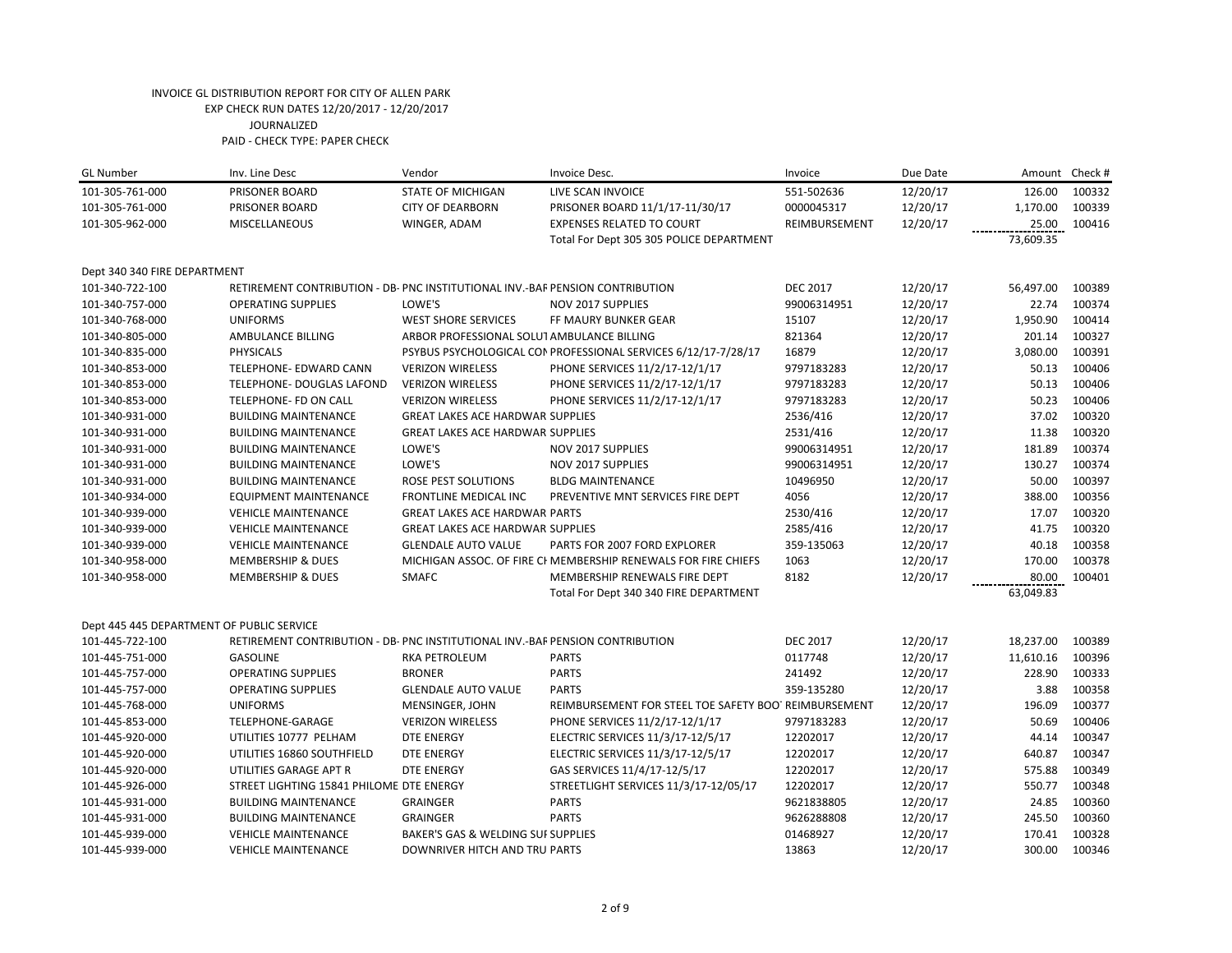| <b>GL Number</b>                          | Inv. Line Desc                                                                | Vendor                                     | Invoice Desc.                                                  | Invoice         | Due Date | Amount    | Check # |
|-------------------------------------------|-------------------------------------------------------------------------------|--------------------------------------------|----------------------------------------------------------------|-----------------|----------|-----------|---------|
| 101-305-761-000                           | PRISONER BOARD                                                                | <b>STATE OF MICHIGAN</b>                   | LIVE SCAN INVOICE                                              | 551-502636      | 12/20/17 | 126.00    | 100332  |
| 101-305-761-000                           | PRISONER BOARD                                                                | <b>CITY OF DEARBORN</b>                    | PRISONER BOARD 11/1/17-11/30/17                                | 0000045317      | 12/20/17 | 1,170.00  | 100339  |
| 101-305-962-000                           | MISCELLANEOUS                                                                 | WINGER, ADAM                               | <b>EXPENSES RELATED TO COURT</b>                               | REIMBURSEMENT   | 12/20/17 | 25.00     | 100416  |
|                                           |                                                                               |                                            | Total For Dept 305 305 POLICE DEPARTMENT                       |                 |          | 73,609.35 |         |
| Dept 340 340 FIRE DEPARTMENT              |                                                                               |                                            |                                                                |                 |          |           |         |
| 101-340-722-100                           | RETIREMENT CONTRIBUTION - DB- PNC INSTITUTIONAL INV.-BAF PENSION CONTRIBUTION |                                            |                                                                | <b>DEC 2017</b> | 12/20/17 | 56,497.00 | 100389  |
| 101-340-757-000                           | <b>OPERATING SUPPLIES</b>                                                     | LOWE'S                                     | NOV 2017 SUPPLIES                                              | 99006314951     | 12/20/17 | 22.74     | 100374  |
| 101-340-768-000                           | <b>UNIFORMS</b>                                                               | <b>WEST SHORE SERVICES</b>                 | FF MAURY BUNKER GEAR                                           | 15107           | 12/20/17 | 1,950.90  | 100414  |
| 101-340-805-000                           | AMBULANCE BILLING                                                             | ARBOR PROFESSIONAL SOLUT AMBULANCE BILLING |                                                                | 821364          | 12/20/17 | 201.14    | 100327  |
| 101-340-835-000                           | PHYSICALS                                                                     |                                            | PSYBUS PSYCHOLOGICAL CON PROFESSIONAL SERVICES 6/12/17-7/28/17 | 16879           | 12/20/17 | 3,080.00  | 100391  |
| 101-340-853-000                           | TELEPHONE- EDWARD CANN                                                        | <b>VERIZON WIRELESS</b>                    | PHONE SERVICES 11/2/17-12/1/17                                 | 9797183283      | 12/20/17 | 50.13     | 100406  |
| 101-340-853-000                           | TELEPHONE- DOUGLAS LAFOND                                                     | <b>VERIZON WIRELESS</b>                    | PHONE SERVICES 11/2/17-12/1/17                                 | 9797183283      | 12/20/17 | 50.13     | 100406  |
| 101-340-853-000                           | TELEPHONE- FD ON CALL                                                         | <b>VERIZON WIRELESS</b>                    | PHONE SERVICES 11/2/17-12/1/17                                 | 9797183283      | 12/20/17 | 50.23     | 100406  |
| 101-340-931-000                           | <b>BUILDING MAINTENANCE</b>                                                   | <b>GREAT LAKES ACE HARDWAR SUPPLIES</b>    |                                                                | 2536/416        | 12/20/17 | 37.02     | 100320  |
| 101-340-931-000                           | <b>BUILDING MAINTENANCE</b>                                                   | <b>GREAT LAKES ACE HARDWAR SUPPLIES</b>    |                                                                | 2531/416        | 12/20/17 | 11.38     | 100320  |
| 101-340-931-000                           | <b>BUILDING MAINTENANCE</b>                                                   | LOWE'S                                     | <b>NOV 2017 SUPPLIES</b>                                       | 99006314951     | 12/20/17 | 181.89    | 100374  |
| 101-340-931-000                           | <b>BUILDING MAINTENANCE</b>                                                   | LOWE'S                                     | NOV 2017 SUPPLIES                                              | 99006314951     | 12/20/17 | 130.27    | 100374  |
| 101-340-931-000                           | <b>BUILDING MAINTENANCE</b>                                                   | ROSE PEST SOLUTIONS                        | <b>BLDG MAINTENANCE</b>                                        | 10496950        | 12/20/17 | 50.00     | 100397  |
| 101-340-934-000                           | EQUIPMENT MAINTENANCE                                                         | <b>FRONTLINE MEDICAL INC</b>               | PREVENTIVE MNT SERVICES FIRE DEPT                              | 4056            | 12/20/17 | 388.00    | 100356  |
| 101-340-939-000                           | <b>VEHICLE MAINTENANCE</b>                                                    | <b>GREAT LAKES ACE HARDWAR PARTS</b>       |                                                                | 2530/416        | 12/20/17 | 17.07     | 100320  |
| 101-340-939-000                           | <b>VEHICLE MAINTENANCE</b>                                                    | <b>GREAT LAKES ACE HARDWAR SUPPLIES</b>    |                                                                | 2585/416        | 12/20/17 | 41.75     | 100320  |
| 101-340-939-000                           | <b>VEHICLE MAINTENANCE</b>                                                    | <b>GLENDALE AUTO VALUE</b>                 | PARTS FOR 2007 FORD EXPLORER                                   | 359-135063      | 12/20/17 | 40.18     | 100358  |
| 101-340-958-000                           | <b>MEMBERSHIP &amp; DUES</b>                                                  |                                            | MICHIGAN ASSOC. OF FIRE CF MEMBERSHIP RENEWALS FOR FIRE CHIEFS | 1063            | 12/20/17 | 170.00    | 100378  |
| 101-340-958-000                           | <b>MEMBERSHIP &amp; DUES</b>                                                  | <b>SMAFC</b>                               | MEMBERSHIP RENEWALS FIRE DEPT                                  | 8182            | 12/20/17 | 80.00     | 100401  |
|                                           |                                                                               |                                            | Total For Dept 340 340 FIRE DEPARTMENT                         |                 |          | 63,049.83 |         |
| Dept 445 445 DEPARTMENT OF PUBLIC SERVICE |                                                                               |                                            |                                                                |                 |          |           |         |
| 101-445-722-100                           | RETIREMENT CONTRIBUTION - DB- PNC INSTITUTIONAL INV.-BAF PENSION CONTRIBUTION |                                            |                                                                | <b>DEC 2017</b> | 12/20/17 | 18,237.00 | 100389  |
| 101-445-751-000                           | <b>GASOLINE</b>                                                               | <b>RKA PETROLEUM</b>                       | <b>PARTS</b>                                                   | 0117748         | 12/20/17 | 11,610.16 | 100396  |
| 101-445-757-000                           | <b>OPERATING SUPPLIES</b>                                                     | <b>BRONER</b>                              | <b>PARTS</b>                                                   | 241492          | 12/20/17 | 228.90    | 100333  |
| 101-445-757-000                           | <b>OPERATING SUPPLIES</b>                                                     | <b>GLENDALE AUTO VALUE</b>                 | <b>PARTS</b>                                                   | 359-135280      | 12/20/17 | 3.88      | 100358  |
| 101-445-768-000                           | <b>UNIFORMS</b>                                                               | MENSINGER, JOHN                            | REIMBURSEMENT FOR STEEL TOE SAFETY BOOT REIMBURSEMENT          |                 | 12/20/17 | 196.09    | 100377  |
| 101-445-853-000                           | TELEPHONE-GARAGE                                                              | <b>VERIZON WIRELESS</b>                    | PHONE SERVICES 11/2/17-12/1/17                                 | 9797183283      | 12/20/17 | 50.69     | 100406  |
| 101-445-920-000                           | UTILITIES 10777 PELHAM                                                        | DTE ENERGY                                 | ELECTRIC SERVICES 11/3/17-12/5/17                              | 12202017        | 12/20/17 | 44.14     | 100347  |
| 101-445-920-000                           | UTILITIES 16860 SOUTHFIELD                                                    | <b>DTE ENERGY</b>                          | ELECTRIC SERVICES 11/3/17-12/5/17                              | 12202017        | 12/20/17 | 640.87    | 100347  |
| 101-445-920-000                           | UTILITIES GARAGE APT R                                                        | DTE ENERGY                                 | GAS SERVICES 11/4/17-12/5/17                                   | 12202017        | 12/20/17 | 575.88    | 100349  |
| 101-445-926-000                           | STREET LIGHTING 15841 PHILOME DTE ENERGY                                      |                                            | STREETLIGHT SERVICES 11/3/17-12/05/17                          | 12202017        | 12/20/17 | 550.77    | 100348  |
| 101-445-931-000                           | <b>BUILDING MAINTENANCE</b>                                                   | <b>GRAINGER</b>                            | <b>PARTS</b>                                                   | 9621838805      | 12/20/17 | 24.85     | 100360  |
| 101-445-931-000                           | <b>BUILDING MAINTENANCE</b>                                                   | <b>GRAINGER</b>                            | <b>PARTS</b>                                                   | 9626288808      | 12/20/17 | 245.50    | 100360  |
| 101-445-939-000                           | <b>VEHICLE MAINTENANCE</b>                                                    | BAKER'S GAS & WELDING SUF SUPPLIES         |                                                                | 01468927        | 12/20/17 | 170.41    | 100328  |
| 101-445-939-000                           | <b>VEHICLE MAINTENANCE</b>                                                    | DOWNRIVER HITCH AND TRU PARTS              |                                                                | 13863           | 12/20/17 | 300.00    | 100346  |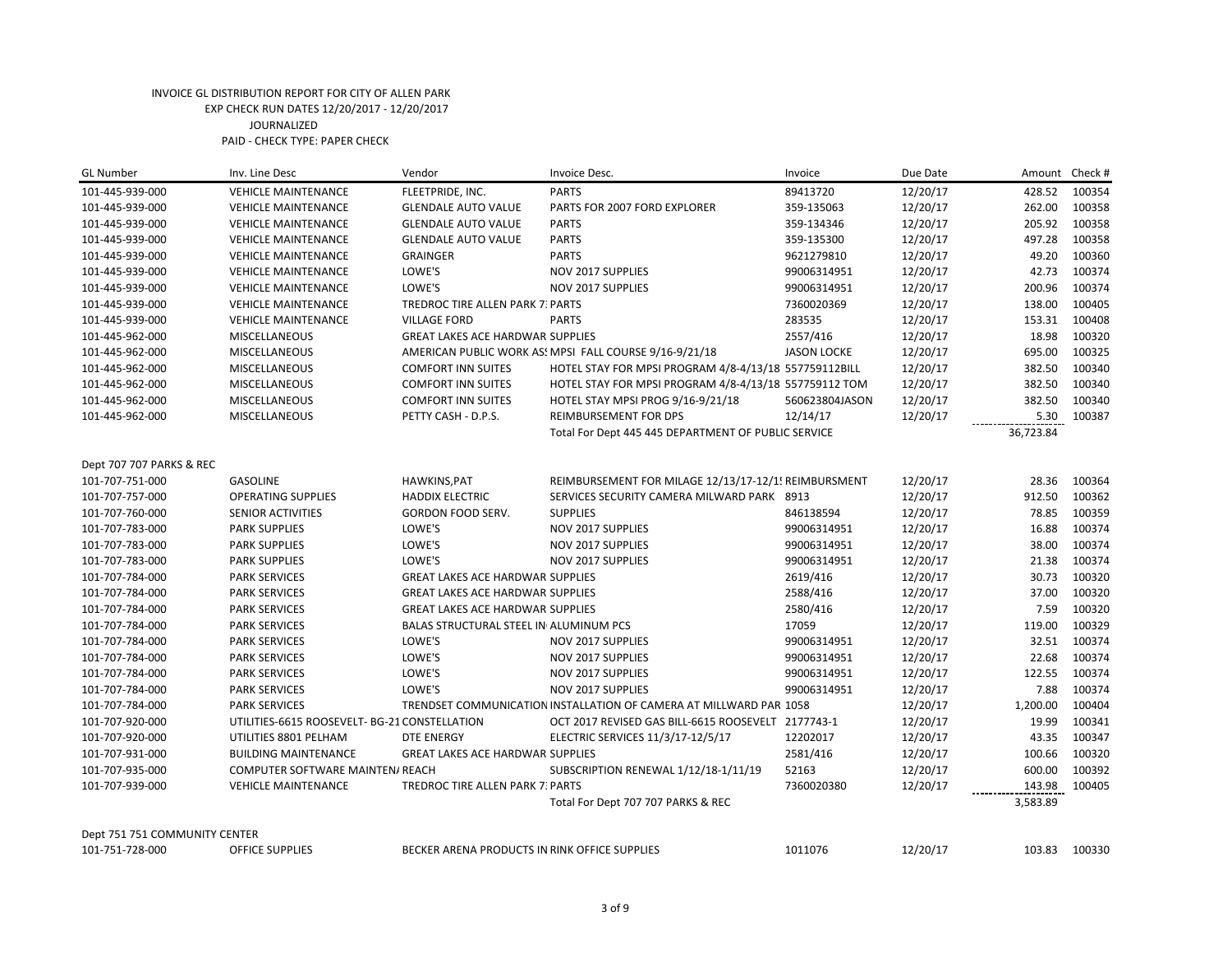| <b>GL Number</b>              | Inv. Line Desc                                | Vendor                                  | Invoice Desc.                                                       | Invoice            | Due Date |           | Amount Check # |
|-------------------------------|-----------------------------------------------|-----------------------------------------|---------------------------------------------------------------------|--------------------|----------|-----------|----------------|
| 101-445-939-000               | <b>VEHICLE MAINTENANCE</b>                    | FLEETPRIDE, INC.                        | <b>PARTS</b>                                                        | 89413720           | 12/20/17 | 428.52    | 100354         |
| 101-445-939-000               | <b>VEHICLE MAINTENANCE</b>                    | <b>GLENDALE AUTO VALUE</b>              | PARTS FOR 2007 FORD EXPLORER                                        | 359-135063         | 12/20/17 | 262.00    | 100358         |
| 101-445-939-000               | <b>VEHICLE MAINTENANCE</b>                    | <b>GLENDALE AUTO VALUE</b>              | <b>PARTS</b>                                                        | 359-134346         | 12/20/17 | 205.92    | 100358         |
| 101-445-939-000               | <b>VEHICLE MAINTENANCE</b>                    | <b>GLENDALE AUTO VALUE</b>              | <b>PARTS</b>                                                        | 359-135300         | 12/20/17 | 497.28    | 100358         |
| 101-445-939-000               | <b>VEHICLE MAINTENANCE</b>                    | <b>GRAINGER</b>                         | <b>PARTS</b>                                                        | 9621279810         | 12/20/17 | 49.20     | 100360         |
| 101-445-939-000               | <b>VEHICLE MAINTENANCE</b>                    | LOWE'S                                  | NOV 2017 SUPPLIES                                                   | 99006314951        | 12/20/17 | 42.73     | 100374         |
| 101-445-939-000               | <b>VEHICLE MAINTENANCE</b>                    | LOWE'S                                  | NOV 2017 SUPPLIES                                                   | 99006314951        | 12/20/17 | 200.96    | 100374         |
| 101-445-939-000               | <b>VEHICLE MAINTENANCE</b>                    | TREDROC TIRE ALLEN PARK 7: PARTS        |                                                                     | 7360020369         | 12/20/17 | 138.00    | 100405         |
| 101-445-939-000               | <b>VEHICLE MAINTENANCE</b>                    | <b>VILLAGE FORD</b>                     | <b>PARTS</b>                                                        | 283535             | 12/20/17 | 153.31    | 100408         |
| 101-445-962-000               | <b>MISCELLANEOUS</b>                          | <b>GREAT LAKES ACE HARDWAR SUPPLIES</b> |                                                                     | 2557/416           | 12/20/17 | 18.98     | 100320         |
| 101-445-962-000               | <b>MISCELLANEOUS</b>                          |                                         | AMERICAN PUBLIC WORK AS! MPSI FALL COURSE 9/16-9/21/18              | <b>JASON LOCKE</b> | 12/20/17 | 695.00    | 100325         |
| 101-445-962-000               | <b>MISCELLANEOUS</b>                          | <b>COMFORT INN SUITES</b>               | HOTEL STAY FOR MPSI PROGRAM 4/8-4/13/18 557759112BILL               |                    | 12/20/17 | 382.50    | 100340         |
| 101-445-962-000               | <b>MISCELLANEOUS</b>                          | <b>COMFORT INN SUITES</b>               | HOTEL STAY FOR MPSI PROGRAM 4/8-4/13/18 557759112 TOM               |                    | 12/20/17 | 382.50    | 100340         |
| 101-445-962-000               | MISCELLANEOUS                                 | <b>COMFORT INN SUITES</b>               | HOTEL STAY MPSI PROG 9/16-9/21/18                                   | 560623804JASON     | 12/20/17 | 382.50    | 100340         |
| 101-445-962-000               | <b>MISCELLANEOUS</b>                          | PETTY CASH - D.P.S.                     | REIMBURSEMENT FOR DPS                                               | 12/14/17           | 12/20/17 | 5.30      | 100387         |
|                               |                                               |                                         | Total For Dept 445 445 DEPARTMENT OF PUBLIC SERVICE                 |                    |          | 36,723.84 |                |
|                               |                                               |                                         |                                                                     |                    |          |           |                |
| Dept 707 707 PARKS & REC      |                                               |                                         |                                                                     |                    |          |           |                |
| 101-707-751-000               | <b>GASOLINE</b>                               | HAWKINS, PAT                            | REIMBURSEMENT FOR MILAGE 12/13/17-12/1! REIMBURSMENT                |                    | 12/20/17 | 28.36     | 100364         |
| 101-707-757-000               | <b>OPERATING SUPPLIES</b>                     | <b>HADDIX ELECTRIC</b>                  | SERVICES SECURITY CAMERA MILWARD PARK 8913                          |                    | 12/20/17 | 912.50    | 100362         |
| 101-707-760-000               | <b>SENIOR ACTIVITIES</b>                      | GORDON FOOD SERV.                       | <b>SUPPLIES</b>                                                     | 846138594          | 12/20/17 | 78.85     | 100359         |
| 101-707-783-000               | <b>PARK SUPPLIES</b>                          | LOWE'S                                  | NOV 2017 SUPPLIES                                                   | 99006314951        | 12/20/17 | 16.88     | 100374         |
| 101-707-783-000               | <b>PARK SUPPLIES</b>                          | LOWE'S                                  | NOV 2017 SUPPLIES                                                   | 99006314951        | 12/20/17 | 38.00     | 100374         |
| 101-707-783-000               | <b>PARK SUPPLIES</b>                          | LOWE'S                                  | <b>NOV 2017 SUPPLIES</b>                                            | 99006314951        | 12/20/17 | 21.38     | 100374         |
| 101-707-784-000               | <b>PARK SERVICES</b>                          | <b>GREAT LAKES ACE HARDWAR SUPPLIES</b> |                                                                     | 2619/416           | 12/20/17 | 30.73     | 100320         |
| 101-707-784-000               | <b>PARK SERVICES</b>                          | <b>GREAT LAKES ACE HARDWAR SUPPLIES</b> |                                                                     | 2588/416           | 12/20/17 | 37.00     | 100320         |
| 101-707-784-000               | <b>PARK SERVICES</b>                          | <b>GREAT LAKES ACE HARDWAR SUPPLIES</b> |                                                                     | 2580/416           | 12/20/17 | 7.59      | 100320         |
| 101-707-784-000               | <b>PARK SERVICES</b>                          | BALAS STRUCTURAL STEEL IN ALUMINUM PCS  |                                                                     | 17059              | 12/20/17 | 119.00    | 100329         |
| 101-707-784-000               | <b>PARK SERVICES</b>                          | LOWE'S                                  | NOV 2017 SUPPLIES                                                   | 99006314951        | 12/20/17 | 32.51     | 100374         |
| 101-707-784-000               | <b>PARK SERVICES</b>                          | LOWE'S                                  | NOV 2017 SUPPLIES                                                   | 99006314951        | 12/20/17 | 22.68     | 100374         |
| 101-707-784-000               | <b>PARK SERVICES</b>                          | LOWE'S                                  | NOV 2017 SUPPLIES                                                   | 99006314951        | 12/20/17 | 122.55    | 100374         |
| 101-707-784-000               | <b>PARK SERVICES</b>                          | LOWE'S                                  | <b>NOV 2017 SUPPLIES</b>                                            | 99006314951        | 12/20/17 | 7.88      | 100374         |
| 101-707-784-000               | <b>PARK SERVICES</b>                          |                                         | TRENDSET COMMUNICATION INSTALLATION OF CAMERA AT MILLWARD PARI 1058 |                    | 12/20/17 | 1,200.00  | 100404         |
| 101-707-920-000               | UTILITIES-6615 ROOSEVELT- BG-21 CONSTELLATION |                                         | OCT 2017 REVISED GAS BILL-6615 ROOSEVELT 2177743-1                  |                    | 12/20/17 | 19.99     | 100341         |
| 101-707-920-000               | UTILITIES 8801 PELHAM                         | <b>DTE ENERGY</b>                       | ELECTRIC SERVICES 11/3/17-12/5/17                                   | 12202017           | 12/20/17 | 43.35     | 100347         |
| 101-707-931-000               | <b>BUILDING MAINTENANCE</b>                   | <b>GREAT LAKES ACE HARDWAR SUPPLIES</b> |                                                                     | 2581/416           | 12/20/17 | 100.66    | 100320         |
| 101-707-935-000               | COMPUTER SOFTWARE MAINTEN/ REACH              |                                         | SUBSCRIPTION RENEWAL 1/12/18-1/11/19                                | 52163              | 12/20/17 | 600.00    | 100392         |
| 101-707-939-000               | <b>VEHICLE MAINTENANCE</b>                    | <b>TREDROC TIRE ALLEN PARK 7: PARTS</b> |                                                                     | 7360020380         | 12/20/17 | 143.98    | 100405         |
|                               |                                               |                                         | Total For Dept 707 707 PARKS & REC                                  |                    |          | 3,583.89  |                |
| Dept 751 751 COMMUNITY CENTER |                                               |                                         |                                                                     |                    |          |           |                |
|                               |                                               |                                         |                                                                     |                    |          |           |                |

| 101-751-728-000 | <b>OFFICE SUPPLIES</b> | BECKER ARENA PRODUCTS IN RINK OFFICE SUPPLIES | 1011076 | 12/20/1 <sup>-</sup> | 103.83 | 100330 |
|-----------------|------------------------|-----------------------------------------------|---------|----------------------|--------|--------|
|                 |                        |                                               |         |                      |        |        |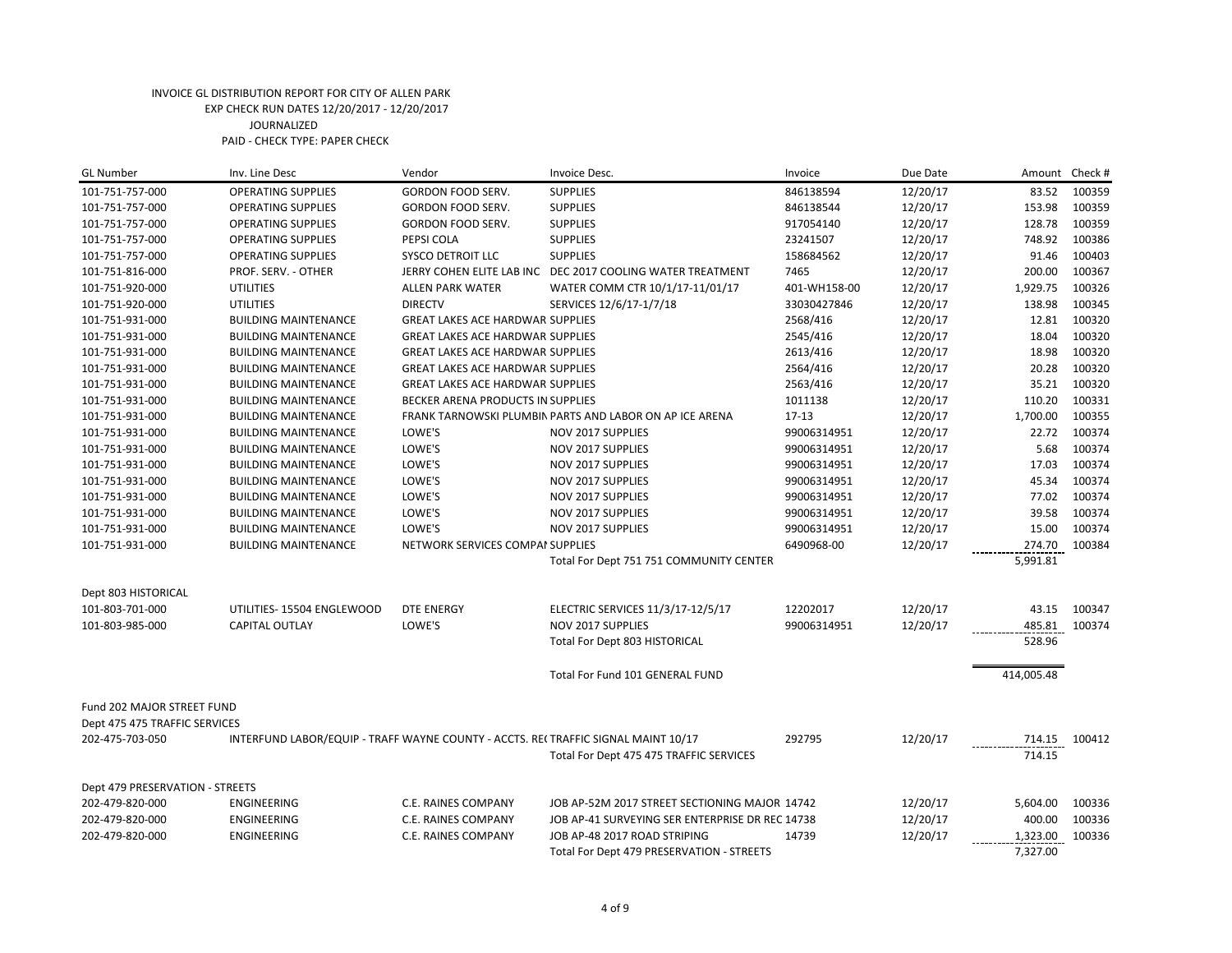| <b>GL Number</b>                | Inv. Line Desc                                                                    | Vendor                                  | Invoice Desc.                                              | Invoice      | Due Date | Amount        | Check # |
|---------------------------------|-----------------------------------------------------------------------------------|-----------------------------------------|------------------------------------------------------------|--------------|----------|---------------|---------|
| 101-751-757-000                 | <b>OPERATING SUPPLIES</b>                                                         | GORDON FOOD SERV.                       | <b>SUPPLIES</b>                                            | 846138594    | 12/20/17 | 83.52         | 100359  |
| 101-751-757-000                 | <b>OPERATING SUPPLIES</b>                                                         | GORDON FOOD SERV.                       | <b>SUPPLIES</b>                                            | 846138544    | 12/20/17 | 153.98        | 100359  |
| 101-751-757-000                 | <b>OPERATING SUPPLIES</b>                                                         | GORDON FOOD SERV.                       | <b>SUPPLIES</b>                                            | 917054140    | 12/20/17 | 128.78        | 100359  |
| 101-751-757-000                 | <b>OPERATING SUPPLIES</b>                                                         | PEPSI COLA                              | <b>SUPPLIES</b>                                            | 23241507     | 12/20/17 | 748.92        | 100386  |
| 101-751-757-000                 | <b>OPERATING SUPPLIES</b>                                                         | SYSCO DETROIT LLC                       | <b>SUPPLIES</b>                                            | 158684562    | 12/20/17 | 91.46         | 100403  |
| 101-751-816-000                 | PROF. SERV. - OTHER                                                               |                                         | JERRY COHEN ELITE LAB INC DEC 2017 COOLING WATER TREATMENT | 7465         | 12/20/17 | 200.00        | 100367  |
| 101-751-920-000                 | <b>UTILITIES</b>                                                                  | <b>ALLEN PARK WATER</b>                 | WATER COMM CTR 10/1/17-11/01/17                            | 401-WH158-00 | 12/20/17 | 1,929.75      | 100326  |
| 101-751-920-000                 | <b>UTILITIES</b>                                                                  | <b>DIRECTV</b>                          | SERVICES 12/6/17-1/7/18                                    | 33030427846  | 12/20/17 | 138.98        | 100345  |
| 101-751-931-000                 | <b>BUILDING MAINTENANCE</b>                                                       | <b>GREAT LAKES ACE HARDWAR SUPPLIES</b> |                                                            | 2568/416     | 12/20/17 | 12.81         | 100320  |
| 101-751-931-000                 | <b>BUILDING MAINTENANCE</b>                                                       | <b>GREAT LAKES ACE HARDWAR SUPPLIES</b> |                                                            | 2545/416     | 12/20/17 | 18.04         | 100320  |
| 101-751-931-000                 | <b>BUILDING MAINTENANCE</b>                                                       | <b>GREAT LAKES ACE HARDWAR SUPPLIES</b> |                                                            | 2613/416     | 12/20/17 | 18.98         | 100320  |
| 101-751-931-000                 | <b>BUILDING MAINTENANCE</b>                                                       | <b>GREAT LAKES ACE HARDWAR SUPPLIES</b> |                                                            | 2564/416     | 12/20/17 | 20.28         | 100320  |
| 101-751-931-000                 | <b>BUILDING MAINTENANCE</b>                                                       | <b>GREAT LAKES ACE HARDWAR SUPPLIES</b> |                                                            | 2563/416     | 12/20/17 | 35.21         | 100320  |
| 101-751-931-000                 | <b>BUILDING MAINTENANCE</b>                                                       | BECKER ARENA PRODUCTS IN SUPPLIES       |                                                            | 1011138      | 12/20/17 | 110.20        | 100331  |
| 101-751-931-000                 | <b>BUILDING MAINTENANCE</b>                                                       |                                         | FRANK TARNOWSKI PLUMBIN PARTS AND LABOR ON AP ICE ARENA    | $17-13$      | 12/20/17 | 1,700.00      | 100355  |
| 101-751-931-000                 | <b>BUILDING MAINTENANCE</b>                                                       | LOWE'S                                  | NOV 2017 SUPPLIES                                          | 99006314951  | 12/20/17 | 22.72         | 100374  |
| 101-751-931-000                 | <b>BUILDING MAINTENANCE</b>                                                       | LOWE'S                                  | NOV 2017 SUPPLIES                                          | 99006314951  | 12/20/17 | 5.68          | 100374  |
| 101-751-931-000                 | <b>BUILDING MAINTENANCE</b>                                                       | LOWE'S                                  | NOV 2017 SUPPLIES                                          | 99006314951  | 12/20/17 | 17.03         | 100374  |
| 101-751-931-000                 | <b>BUILDING MAINTENANCE</b>                                                       | LOWE'S                                  | NOV 2017 SUPPLIES                                          | 99006314951  | 12/20/17 | 45.34         | 100374  |
| 101-751-931-000                 | <b>BUILDING MAINTENANCE</b>                                                       | LOWE'S                                  | NOV 2017 SUPPLIES                                          | 99006314951  | 12/20/17 | 77.02         | 100374  |
| 101-751-931-000                 | <b>BUILDING MAINTENANCE</b>                                                       | LOWE'S                                  | <b>NOV 2017 SUPPLIES</b>                                   | 99006314951  | 12/20/17 | 39.58         | 100374  |
| 101-751-931-000                 | <b>BUILDING MAINTENANCE</b>                                                       | LOWE'S                                  | NOV 2017 SUPPLIES                                          | 99006314951  | 12/20/17 | 15.00         | 100374  |
| 101-751-931-000                 | <b>BUILDING MAINTENANCE</b>                                                       | NETWORK SERVICES COMPAI SUPPLIES        |                                                            | 6490968-00   | 12/20/17 | 274.70        | 100384  |
|                                 |                                                                                   |                                         | Total For Dept 751 751 COMMUNITY CENTER                    |              |          | 5,991.81      |         |
|                                 |                                                                                   |                                         |                                                            |              |          |               |         |
| Dept 803 HISTORICAL             |                                                                                   |                                         |                                                            |              |          |               |         |
| 101-803-701-000                 | UTILITIES- 15504 ENGLEWOOD                                                        | <b>DTE ENERGY</b>                       | ELECTRIC SERVICES 11/3/17-12/5/17                          | 12202017     | 12/20/17 | 43.15         | 100347  |
| 101-803-985-000                 | <b>CAPITAL OUTLAY</b>                                                             | LOWE'S                                  | NOV 2017 SUPPLIES                                          | 99006314951  | 12/20/17 | 485.81 100374 |         |
|                                 |                                                                                   |                                         | Total For Dept 803 HISTORICAL                              |              |          | 528.96        |         |
|                                 |                                                                                   |                                         |                                                            |              |          | 414,005.48    |         |
|                                 |                                                                                   |                                         | Total For Fund 101 GENERAL FUND                            |              |          |               |         |
| Fund 202 MAJOR STREET FUND      |                                                                                   |                                         |                                                            |              |          |               |         |
| Dept 475 475 TRAFFIC SERVICES   |                                                                                   |                                         |                                                            |              |          |               |         |
| 202-475-703-050                 | INTERFUND LABOR/EQUIP - TRAFF WAYNE COUNTY - ACCTS. RECTRAFFIC SIGNAL MAINT 10/17 |                                         |                                                            | 292795       | 12/20/17 | 714.15        | 100412  |
|                                 |                                                                                   |                                         | Total For Dept 475 475 TRAFFIC SERVICES                    |              |          | 714.15        |         |
|                                 |                                                                                   |                                         |                                                            |              |          |               |         |
| Dept 479 PRESERVATION - STREETS |                                                                                   |                                         |                                                            |              |          |               |         |
| 202-479-820-000                 | <b>ENGINEERING</b>                                                                | C.E. RAINES COMPANY                     | JOB AP-52M 2017 STREET SECTIONING MAJOR 14742              |              | 12/20/17 | 5,604.00      | 100336  |
| 202-479-820-000                 | <b>ENGINEERING</b>                                                                | C.E. RAINES COMPANY                     | JOB AP-41 SURVEYING SER ENTERPRISE DR REC 14738            |              | 12/20/17 | 400.00        | 100336  |
| 202-479-820-000                 | ENGINEERING                                                                       | C.E. RAINES COMPANY                     | JOB AP-48 2017 ROAD STRIPING                               | 14739        | 12/20/17 | 1,323.00      | 100336  |
|                                 |                                                                                   |                                         | Total For Dept 479 PRESERVATION - STREETS                  |              |          | 7,327.00      |         |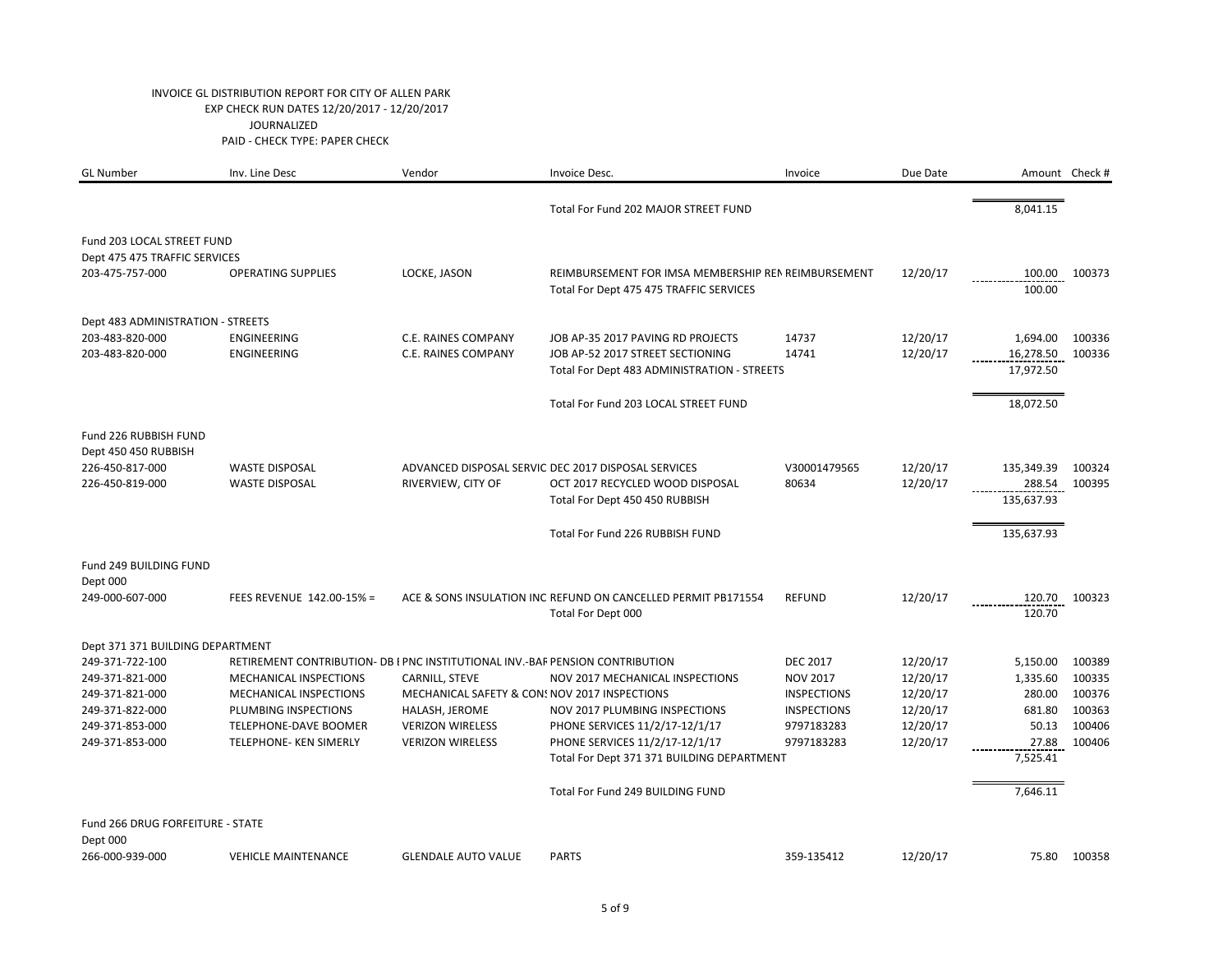| <b>GL Number</b>                  | Inv. Line Desc                                                                | Vendor                     | Invoice Desc.                                                                                  | Invoice            | Due Date |                  | Amount Check # |
|-----------------------------------|-------------------------------------------------------------------------------|----------------------------|------------------------------------------------------------------------------------------------|--------------------|----------|------------------|----------------|
|                                   |                                                                               |                            | Total For Fund 202 MAJOR STREET FUND                                                           |                    |          | 8,041.15         |                |
| Fund 203 LOCAL STREET FUND        |                                                                               |                            |                                                                                                |                    |          |                  |                |
| Dept 475 475 TRAFFIC SERVICES     |                                                                               |                            |                                                                                                |                    |          |                  |                |
| 203-475-757-000                   | <b>OPERATING SUPPLIES</b>                                                     | LOCKE, JASON               | REIMBURSEMENT FOR IMSA MEMBERSHIP REN REIMBURSEMENT<br>Total For Dept 475 475 TRAFFIC SERVICES |                    | 12/20/17 | 100.00<br>100.00 | 100373         |
| Dept 483 ADMINISTRATION - STREETS |                                                                               |                            |                                                                                                |                    |          |                  |                |
| 203-483-820-000                   | <b>ENGINEERING</b>                                                            | C.E. RAINES COMPANY        | JOB AP-35 2017 PAVING RD PROJECTS                                                              | 14737              | 12/20/17 | 1,694.00         | 100336         |
| 203-483-820-000                   | <b>ENGINEERING</b>                                                            | C.E. RAINES COMPANY        | JOB AP-52 2017 STREET SECTIONING                                                               | 14741              | 12/20/17 | 16,278.50        | 100336         |
|                                   |                                                                               |                            | Total For Dept 483 ADMINISTRATION - STREETS                                                    |                    |          | 17,972.50        |                |
|                                   |                                                                               |                            | Total For Fund 203 LOCAL STREET FUND                                                           |                    |          | 18,072.50        |                |
| Fund 226 RUBBISH FUND             |                                                                               |                            |                                                                                                |                    |          |                  |                |
| Dept 450 450 RUBBISH              |                                                                               |                            |                                                                                                |                    |          |                  |                |
| 226-450-817-000                   | <b>WASTE DISPOSAL</b>                                                         |                            | ADVANCED DISPOSAL SERVIC DEC 2017 DISPOSAL SERVICES                                            | V30001479565       | 12/20/17 | 135,349.39       | 100324         |
| 226-450-819-000                   | <b>WASTE DISPOSAL</b>                                                         | RIVERVIEW, CITY OF         | OCT 2017 RECYCLED WOOD DISPOSAL                                                                | 80634              | 12/20/17 | 288.54           | 100395         |
|                                   |                                                                               |                            | Total For Dept 450 450 RUBBISH                                                                 |                    |          | 135,637.93       |                |
|                                   |                                                                               |                            | Total For Fund 226 RUBBISH FUND                                                                |                    |          | 135,637.93       |                |
| Fund 249 BUILDING FUND            |                                                                               |                            |                                                                                                |                    |          |                  |                |
| Dept 000                          |                                                                               |                            |                                                                                                |                    |          |                  |                |
| 249-000-607-000                   | FEES REVENUE 142.00-15% =                                                     |                            | ACE & SONS INSULATION INC REFUND ON CANCELLED PERMIT PB171554                                  | <b>REFUND</b>      | 12/20/17 | 120.70           | 100323         |
|                                   |                                                                               |                            | Total For Dept 000                                                                             |                    |          | 120.70           |                |
| Dept 371 371 BUILDING DEPARTMENT  |                                                                               |                            |                                                                                                |                    |          |                  |                |
| 249-371-722-100                   | RETIREMENT CONTRIBUTION- DB I PNC INSTITUTIONAL INV.-BAF PENSION CONTRIBUTION |                            |                                                                                                | <b>DEC 2017</b>    | 12/20/17 | 5,150.00         | 100389         |
| 249-371-821-000                   | <b>MECHANICAL INSPECTIONS</b>                                                 | CARNILL, STEVE             | <b>NOV 2017 MECHANICAL INSPECTIONS</b>                                                         | <b>NOV 2017</b>    | 12/20/17 | 1,335.60         | 100335         |
| 249-371-821-000                   | MECHANICAL INSPECTIONS                                                        |                            | MECHANICAL SAFETY & CON: NOV 2017 INSPECTIONS                                                  | <b>INSPECTIONS</b> | 12/20/17 | 280.00           | 100376         |
| 249-371-822-000                   | PLUMBING INSPECTIONS                                                          | HALASH, JEROME             | NOV 2017 PLUMBING INSPECTIONS                                                                  | <b>INSPECTIONS</b> | 12/20/17 | 681.80           | 100363         |
| 249-371-853-000                   | TELEPHONE-DAVE BOOMER                                                         | <b>VERIZON WIRELESS</b>    | PHONE SERVICES 11/2/17-12/1/17                                                                 | 9797183283         | 12/20/17 | 50.13            | 100406         |
| 249-371-853-000                   | TELEPHONE- KEN SIMERLY                                                        | <b>VERIZON WIRELESS</b>    | PHONE SERVICES 11/2/17-12/1/17                                                                 | 9797183283         | 12/20/17 | 27.88            | 100406         |
|                                   |                                                                               |                            | Total For Dept 371 371 BUILDING DEPARTMENT                                                     |                    |          | 7,525.41         |                |
|                                   |                                                                               |                            | Total For Fund 249 BUILDING FUND                                                               |                    |          | 7,646.11         |                |
| Fund 266 DRUG FORFEITURE - STATE  |                                                                               |                            |                                                                                                |                    |          |                  |                |
| Dept 000<br>266-000-939-000       | <b>VEHICLE MAINTENANCE</b>                                                    | <b>GLENDALE AUTO VALUE</b> | <b>PARTS</b>                                                                                   | 359-135412         | 12/20/17 | 75.80            | 100358         |
|                                   |                                                                               |                            |                                                                                                |                    |          |                  |                |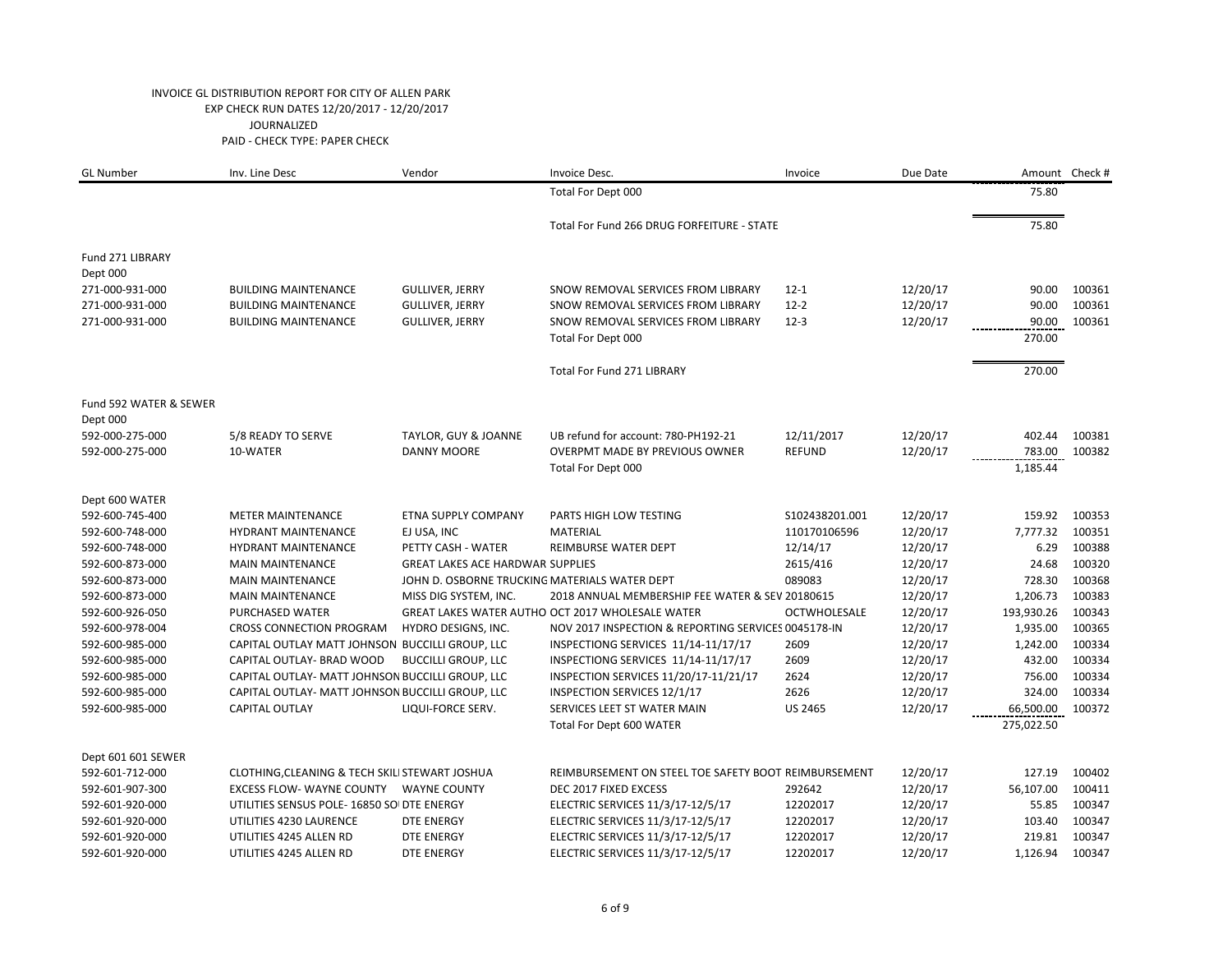| <b>GL Number</b>                   | Inv. Line Desc                                   | Vendor                                  | Invoice Desc.                                        | Invoice             | Due Date |            | Amount Check # |
|------------------------------------|--------------------------------------------------|-----------------------------------------|------------------------------------------------------|---------------------|----------|------------|----------------|
|                                    |                                                  |                                         | Total For Dept 000                                   |                     |          | 75.80      |                |
|                                    |                                                  |                                         | Total For Fund 266 DRUG FORFEITURE - STATE           |                     |          | 75.80      |                |
| Fund 271 LIBRARY<br>Dept 000       |                                                  |                                         |                                                      |                     |          |            |                |
| 271-000-931-000                    | <b>BUILDING MAINTENANCE</b>                      | <b>GULLIVER, JERRY</b>                  | SNOW REMOVAL SERVICES FROM LIBRARY                   | $12 - 1$            | 12/20/17 | 90.00      | 100361         |
| 271-000-931-000                    | <b>BUILDING MAINTENANCE</b>                      | <b>GULLIVER, JERRY</b>                  | SNOW REMOVAL SERVICES FROM LIBRARY                   | $12 - 2$            | 12/20/17 | 90.00      | 100361         |
| 271-000-931-000                    | <b>BUILDING MAINTENANCE</b>                      | <b>GULLIVER, JERRY</b>                  | SNOW REMOVAL SERVICES FROM LIBRARY                   | $12-3$              | 12/20/17 | 90.00      | 100361         |
|                                    |                                                  |                                         | Total For Dept 000                                   |                     |          | 270.00     |                |
|                                    |                                                  |                                         | <b>Total For Fund 271 LIBRARY</b>                    |                     |          | 270.00     |                |
| Fund 592 WATER & SEWER<br>Dept 000 |                                                  |                                         |                                                      |                     |          |            |                |
| 592-000-275-000                    | 5/8 READY TO SERVE                               | TAYLOR, GUY & JOANNE                    | UB refund for account: 780-PH192-21                  | 12/11/2017          | 12/20/17 | 402.44     | 100381         |
| 592-000-275-000                    | 10-WATER                                         | <b>DANNY MOORE</b>                      | <b>OVERPMT MADE BY PREVIOUS OWNER</b>                | <b>REFUND</b>       | 12/20/17 | 783.00     | 100382         |
|                                    |                                                  |                                         | Total For Dept 000                                   |                     |          | 1,185.44   |                |
| Dept 600 WATER                     |                                                  |                                         |                                                      |                     |          |            |                |
| 592-600-745-400                    | <b>METER MAINTENANCE</b>                         | <b>ETNA SUPPLY COMPANY</b>              | PARTS HIGH LOW TESTING                               | S102438201.001      | 12/20/17 | 159.92     | 100353         |
| 592-600-748-000                    | <b>HYDRANT MAINTENANCE</b>                       | EJ USA, INC                             | MATERIAL                                             | 110170106596        | 12/20/17 | 7,777.32   | 100351         |
| 592-600-748-000                    | <b>HYDRANT MAINTENANCE</b>                       | PETTY CASH - WATER                      | REIMBURSE WATER DEPT                                 | 12/14/17            | 12/20/17 | 6.29       | 100388         |
| 592-600-873-000                    | <b>MAIN MAINTENANCE</b>                          | <b>GREAT LAKES ACE HARDWAR SUPPLIES</b> |                                                      | 2615/416            | 12/20/17 | 24.68      | 100320         |
| 592-600-873-000                    | <b>MAIN MAINTENANCE</b>                          |                                         | JOHN D. OSBORNE TRUCKING MATERIALS WATER DEPT        | 089083              | 12/20/17 | 728.30     | 100368         |
| 592-600-873-000                    | <b>MAIN MAINTENANCE</b>                          | MISS DIG SYSTEM, INC.                   | 2018 ANNUAL MEMBERSHIP FEE WATER & SEV 20180615      |                     | 12/20/17 | 1,206.73   | 100383         |
| 592-600-926-050                    | PURCHASED WATER                                  |                                         | GREAT LAKES WATER AUTHO OCT 2017 WHOLESALE WATER     | <b>OCTWHOLESALE</b> | 12/20/17 | 193,930.26 | 100343         |
| 592-600-978-004                    | <b>CROSS CONNECTION PROGRAM</b>                  | HYDRO DESIGNS, INC.                     | NOV 2017 INSPECTION & REPORTING SERVICES 0045178-IN  |                     | 12/20/17 | 1,935.00   | 100365         |
| 592-600-985-000                    | CAPITAL OUTLAY MATT JOHNSON BUCCILLI GROUP, LLC  |                                         | INSPECTIONG SERVICES 11/14-11/17/17                  | 2609                | 12/20/17 | 1,242.00   | 100334         |
| 592-600-985-000                    | CAPITAL OUTLAY- BRAD WOOD                        | <b>BUCCILLI GROUP, LLC</b>              | INSPECTIONG SERVICES 11/14-11/17/17                  | 2609                | 12/20/17 | 432.00     | 100334         |
| 592-600-985-000                    | CAPITAL OUTLAY- MATT JOHNSON BUCCILLI GROUP, LLC |                                         | INSPECTION SERVICES 11/20/17-11/21/17                | 2624                | 12/20/17 | 756.00     | 100334         |
| 592-600-985-000                    | CAPITAL OUTLAY- MATT JOHNSON BUCCILLI GROUP, LLC |                                         | INSPECTION SERVICES 12/1/17                          | 2626                | 12/20/17 | 324.00     | 100334         |
| 592-600-985-000                    | <b>CAPITAL OUTLAY</b>                            | LIQUI-FORCE SERV.                       | SERVICES LEET ST WATER MAIN                          | <b>US 2465</b>      | 12/20/17 | 66,500.00  | 100372         |
|                                    |                                                  |                                         | Total For Dept 600 WATER                             |                     |          | 275,022.50 |                |
| Dept 601 601 SEWER                 |                                                  |                                         |                                                      |                     |          |            |                |
| 592-601-712-000                    | CLOTHING, CLEANING & TECH SKILI STEWART JOSHUA   |                                         | REIMBURSEMENT ON STEEL TOE SAFETY BOOT REIMBURSEMENT |                     | 12/20/17 | 127.19     | 100402         |
| 592-601-907-300                    |                                                  |                                         | DEC 2017 FIXED EXCESS                                | 292642              | 12/20/17 | 56,107.00  | 100411         |
| 592-601-920-000                    | UTILITIES SENSUS POLE- 16850 SOI DTE ENERGY      |                                         | ELECTRIC SERVICES 11/3/17-12/5/17                    | 12202017            | 12/20/17 | 55.85      | 100347         |
| 592-601-920-000                    | UTILITIES 4230 LAURENCE                          | DTE ENERGY                              | ELECTRIC SERVICES 11/3/17-12/5/17                    | 12202017            | 12/20/17 | 103.40     | 100347         |
| 592-601-920-000                    | UTILITIES 4245 ALLEN RD                          | DTE ENERGY                              | ELECTRIC SERVICES 11/3/17-12/5/17                    | 12202017            | 12/20/17 | 219.81     | 100347         |
| 592-601-920-000                    | UTILITIES 4245 ALLEN RD                          | DTE ENERGY                              | ELECTRIC SERVICES 11/3/17-12/5/17                    | 12202017            | 12/20/17 | 1,126.94   | 100347         |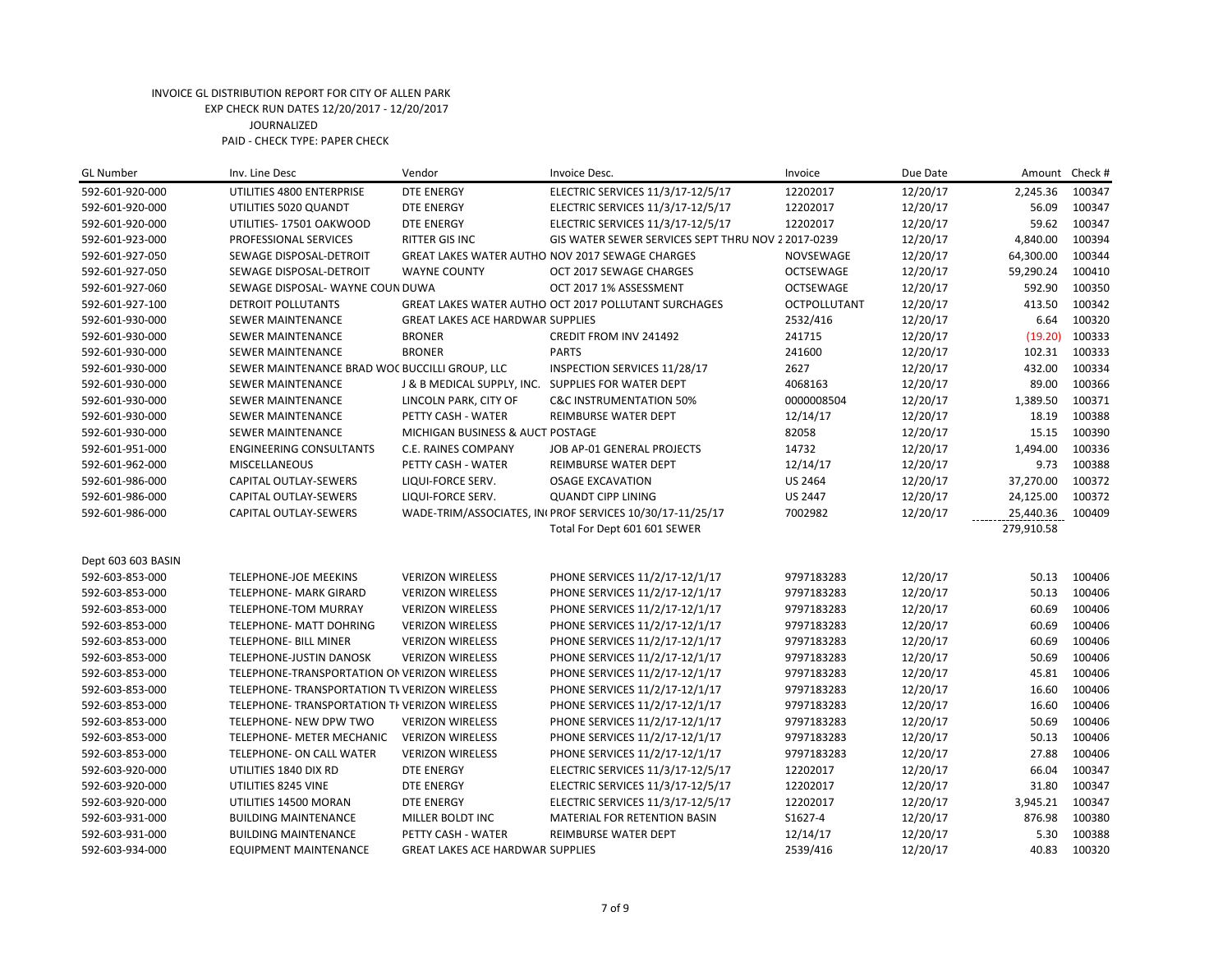| <b>GL Number</b>   | Inv. Line Desc                                 | Vendor                                             | Invoice Desc.                                            | Invoice             | Due Date | Amount     | Check # |
|--------------------|------------------------------------------------|----------------------------------------------------|----------------------------------------------------------|---------------------|----------|------------|---------|
| 592-601-920-000    | UTILITIES 4800 ENTERPRISE                      | <b>DTE ENERGY</b>                                  | ELECTRIC SERVICES 11/3/17-12/5/17                        | 12202017            | 12/20/17 | 2,245.36   | 100347  |
| 592-601-920-000    | UTILITIES 5020 QUANDT                          | <b>DTE ENERGY</b>                                  | ELECTRIC SERVICES 11/3/17-12/5/17                        | 12202017            | 12/20/17 | 56.09      | 100347  |
| 592-601-920-000    | UTILITIES- 17501 OAKWOOD                       | <b>DTE ENERGY</b>                                  | ELECTRIC SERVICES 11/3/17-12/5/17                        | 12202017            | 12/20/17 | 59.62      | 100347  |
| 592-601-923-000    | PROFESSIONAL SERVICES                          | RITTER GIS INC                                     | GIS WATER SEWER SERVICES SEPT THRU NOV 2 2017-0239       |                     | 12/20/17 | 4,840.00   | 100394  |
| 592-601-927-050    | SEWAGE DISPOSAL-DETROIT                        |                                                    | GREAT LAKES WATER AUTHO NOV 2017 SEWAGE CHARGES          | <b>NOVSEWAGE</b>    | 12/20/17 | 64,300.00  | 100344  |
| 592-601-927-050    | SEWAGE DISPOSAL-DETROIT                        | <b>WAYNE COUNTY</b>                                | OCT 2017 SEWAGE CHARGES                                  | OCTSEWAGE           | 12/20/17 | 59,290.24  | 100410  |
| 592-601-927-060    | SEWAGE DISPOSAL- WAYNE COUN DUWA               |                                                    | OCT 2017 1% ASSESSMENT                                   | <b>OCTSEWAGE</b>    | 12/20/17 | 592.90     | 100350  |
| 592-601-927-100    | DETROIT POLLUTANTS                             |                                                    | GREAT LAKES WATER AUTHO OCT 2017 POLLUTANT SURCHAGES     | <b>OCTPOLLUTANT</b> | 12/20/17 | 413.50     | 100342  |
| 592-601-930-000    | <b>SEWER MAINTENANCE</b>                       | <b>GREAT LAKES ACE HARDWAR SUPPLIES</b>            |                                                          | 2532/416            | 12/20/17 | 6.64       | 100320  |
| 592-601-930-000    | <b>SEWER MAINTENANCE</b>                       | <b>BRONER</b>                                      | CREDIT FROM INV 241492                                   | 241715              | 12/20/17 | (19.20)    | 100333  |
| 592-601-930-000    | <b>SEWER MAINTENANCE</b>                       | <b>BRONER</b>                                      | <b>PARTS</b>                                             | 241600              | 12/20/17 | 102.31     | 100333  |
| 592-601-930-000    | SEWER MAINTENANCE BRAD WOC BUCCILLI GROUP, LLC |                                                    | INSPECTION SERVICES 11/28/17                             | 2627                | 12/20/17 | 432.00     | 100334  |
| 592-601-930-000    | <b>SEWER MAINTENANCE</b>                       | J & B MEDICAL SUPPLY, INC. SUPPLIES FOR WATER DEPT |                                                          | 4068163             | 12/20/17 | 89.00      | 100366  |
| 592-601-930-000    | <b>SEWER MAINTENANCE</b>                       | LINCOLN PARK, CITY OF                              | <b>C&amp;C INSTRUMENTATION 50%</b>                       | 0000008504          | 12/20/17 | 1,389.50   | 100371  |
| 592-601-930-000    | <b>SEWER MAINTENANCE</b>                       | PETTY CASH - WATER                                 | REIMBURSE WATER DEPT                                     | 12/14/17            | 12/20/17 | 18.19      | 100388  |
| 592-601-930-000    | <b>SEWER MAINTENANCE</b>                       | MICHIGAN BUSINESS & AUCT POSTAGE                   |                                                          | 82058               | 12/20/17 | 15.15      | 100390  |
| 592-601-951-000    | <b>ENGINEERING CONSULTANTS</b>                 | C.E. RAINES COMPANY                                | JOB AP-01 GENERAL PROJECTS                               | 14732               | 12/20/17 | 1,494.00   | 100336  |
| 592-601-962-000    | <b>MISCELLANEOUS</b>                           | PETTY CASH - WATER                                 | REIMBURSE WATER DEPT                                     | 12/14/17            | 12/20/17 | 9.73       | 100388  |
| 592-601-986-000    | CAPITAL OUTLAY-SEWERS                          | LIQUI-FORCE SERV.                                  | <b>OSAGE EXCAVATION</b>                                  | <b>US 2464</b>      | 12/20/17 | 37,270.00  | 100372  |
| 592-601-986-000    | CAPITAL OUTLAY-SEWERS                          | LIQUI-FORCE SERV.                                  | <b>QUANDT CIPP LINING</b>                                | <b>US 2447</b>      | 12/20/17 | 24,125.00  | 100372  |
| 592-601-986-000    | CAPITAL OUTLAY-SEWERS                          |                                                    | WADE-TRIM/ASSOCIATES, IN(PROF SERVICES 10/30/17-11/25/17 | 7002982             | 12/20/17 | 25,440.36  | 100409  |
|                    |                                                |                                                    | Total For Dept 601 601 SEWER                             |                     |          | 279,910.58 |         |
|                    |                                                |                                                    |                                                          |                     |          |            |         |
| Dept 603 603 BASIN |                                                |                                                    |                                                          |                     |          |            |         |
| 592-603-853-000    | TELEPHONE-JOE MEEKINS                          | <b>VERIZON WIRELESS</b>                            | PHONE SERVICES 11/2/17-12/1/17                           | 9797183283          | 12/20/17 | 50.13      | 100406  |
| 592-603-853-000    | TELEPHONE- MARK GIRARD                         | <b>VERIZON WIRELESS</b>                            | PHONE SERVICES 11/2/17-12/1/17                           | 9797183283          | 12/20/17 | 50.13      | 100406  |
| 592-603-853-000    | TELEPHONE-TOM MURRAY                           | <b>VERIZON WIRELESS</b>                            | PHONE SERVICES 11/2/17-12/1/17                           | 9797183283          | 12/20/17 | 60.69      | 100406  |
| 592-603-853-000    | TELEPHONE- MATT DOHRING                        | <b>VERIZON WIRELESS</b>                            | PHONE SERVICES 11/2/17-12/1/17                           | 9797183283          | 12/20/17 | 60.69      | 100406  |
| 592-603-853-000    | TELEPHONE- BILL MINER                          | <b>VERIZON WIRELESS</b>                            | PHONE SERVICES 11/2/17-12/1/17                           | 9797183283          | 12/20/17 | 60.69      | 100406  |
| 592-603-853-000    | TELEPHONE-JUSTIN DANOSK                        | <b>VERIZON WIRELESS</b>                            | PHONE SERVICES 11/2/17-12/1/17                           | 9797183283          | 12/20/17 | 50.69      | 100406  |
| 592-603-853-000    | TELEPHONE-TRANSPORTATION ON VERIZON WIRELESS   |                                                    | PHONE SERVICES 11/2/17-12/1/17                           | 9797183283          | 12/20/17 | 45.81      | 100406  |
| 592-603-853-000    | TELEPHONE-TRANSPORTATION TV VERIZON WIRELESS   |                                                    | PHONE SERVICES 11/2/17-12/1/17                           | 9797183283          | 12/20/17 | 16.60      | 100406  |
| 592-603-853-000    | TELEPHONE- TRANSPORTATION TI VERIZON WIRELESS  |                                                    | PHONE SERVICES 11/2/17-12/1/17                           | 9797183283          | 12/20/17 | 16.60      | 100406  |
| 592-603-853-000    | TELEPHONE- NEW DPW TWO                         | <b>VERIZON WIRELESS</b>                            | PHONE SERVICES 11/2/17-12/1/17                           | 9797183283          | 12/20/17 | 50.69      | 100406  |
| 592-603-853-000    | TELEPHONE- METER MECHANIC                      | <b>VERIZON WIRELESS</b>                            | PHONE SERVICES 11/2/17-12/1/17                           | 9797183283          | 12/20/17 | 50.13      | 100406  |
| 592-603-853-000    | TELEPHONE- ON CALL WATER                       | <b>VERIZON WIRELESS</b>                            | PHONE SERVICES 11/2/17-12/1/17                           | 9797183283          | 12/20/17 | 27.88      | 100406  |
| 592-603-920-000    | UTILITIES 1840 DIX RD                          | <b>DTE ENERGY</b>                                  | ELECTRIC SERVICES 11/3/17-12/5/17                        | 12202017            | 12/20/17 | 66.04      | 100347  |
| 592-603-920-000    | UTILITIES 8245 VINE                            | <b>DTE ENERGY</b>                                  | ELECTRIC SERVICES 11/3/17-12/5/17                        | 12202017            | 12/20/17 | 31.80      | 100347  |
| 592-603-920-000    | UTILITIES 14500 MORAN                          | DTE ENERGY                                         | ELECTRIC SERVICES 11/3/17-12/5/17                        | 12202017            | 12/20/17 | 3,945.21   | 100347  |
| 592-603-931-000    | <b>BUILDING MAINTENANCE</b>                    | MILLER BOLDT INC                                   | MATERIAL FOR RETENTION BASIN                             | S1627-4             | 12/20/17 | 876.98     | 100380  |
| 592-603-931-000    | <b>BUILDING MAINTENANCE</b>                    | PETTY CASH - WATER                                 | <b>REIMBURSE WATER DEPT</b>                              | 12/14/17            | 12/20/17 | 5.30       | 100388  |
| 592-603-934-000    | <b>EQUIPMENT MAINTENANCE</b>                   | <b>GREAT LAKES ACE HARDWAR SUPPLIES</b>            |                                                          | 2539/416            | 12/20/17 | 40.83      | 100320  |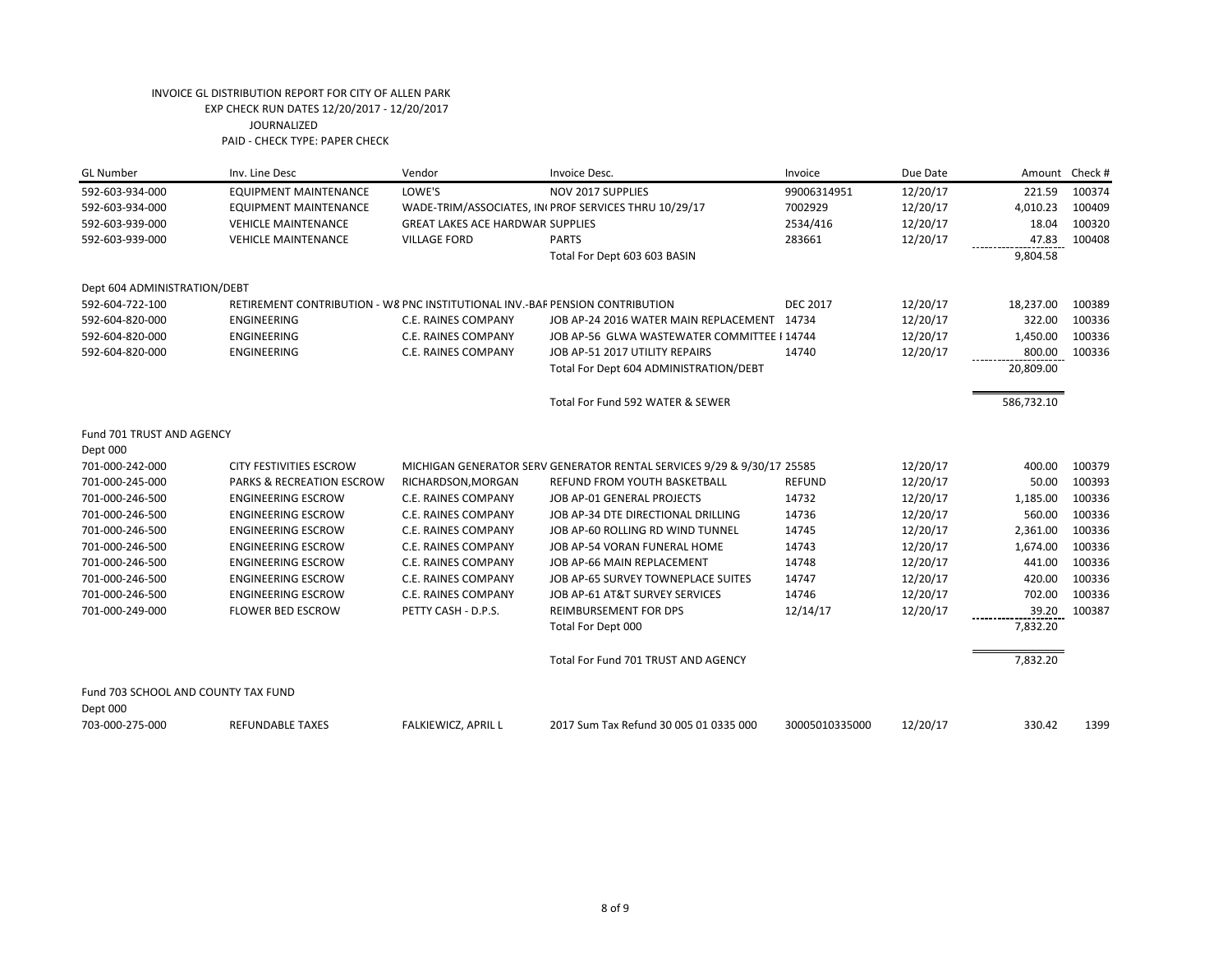| <b>GL Number</b>                                | Inv. Line Desc                                                               | Vendor                                  | Invoice Desc.                                                          | Invoice         | Due Date |            | Amount Check # |
|-------------------------------------------------|------------------------------------------------------------------------------|-----------------------------------------|------------------------------------------------------------------------|-----------------|----------|------------|----------------|
| 592-603-934-000                                 | <b>EQUIPMENT MAINTENANCE</b>                                                 | LOWE'S                                  | NOV 2017 SUPPLIES                                                      | 99006314951     | 12/20/17 | 221.59     | 100374         |
| 592-603-934-000                                 | <b>EQUIPMENT MAINTENANCE</b>                                                 |                                         | WADE-TRIM/ASSOCIATES, IN(PROF SERVICES THRU 10/29/17                   | 7002929         | 12/20/17 | 4,010.23   | 100409         |
| 592-603-939-000                                 | <b>VEHICLE MAINTENANCE</b>                                                   | <b>GREAT LAKES ACE HARDWAR SUPPLIES</b> |                                                                        | 2534/416        | 12/20/17 | 18.04      | 100320         |
| 592-603-939-000                                 | <b>VEHICLE MAINTENANCE</b>                                                   | <b>VILLAGE FORD</b>                     | <b>PARTS</b>                                                           | 283661          | 12/20/17 | 47.83      | 100408         |
|                                                 |                                                                              |                                         | Total For Dept 603 603 BASIN                                           |                 |          | 9,804.58   |                |
| Dept 604 ADMINISTRATION/DEBT                    |                                                                              |                                         |                                                                        |                 |          |            |                |
| 592-604-722-100                                 | RETIREMENT CONTRIBUTION - W8 PNC INSTITUTIONAL INV.-BAF PENSION CONTRIBUTION |                                         |                                                                        | <b>DEC 2017</b> | 12/20/17 | 18,237.00  | 100389         |
| 592-604-820-000                                 | <b>ENGINEERING</b>                                                           | <b>C.E. RAINES COMPANY</b>              | JOB AP-24 2016 WATER MAIN REPLACEMENT                                  | 14734           | 12/20/17 | 322.00     | 100336         |
| 592-604-820-000                                 | <b>ENGINEERING</b>                                                           | <b>C.E. RAINES COMPANY</b>              | JOB AP-56 GLWA WASTEWATER COMMITTEE I 14744                            |                 | 12/20/17 | 1,450.00   | 100336         |
| 592-604-820-000                                 | <b>ENGINEERING</b>                                                           | <b>C.E. RAINES COMPANY</b>              | JOB AP-51 2017 UTILITY REPAIRS                                         | 14740           | 12/20/17 | 800.00     | 100336         |
|                                                 |                                                                              |                                         | Total For Dept 604 ADMINISTRATION/DEBT                                 |                 |          | 20,809.00  |                |
|                                                 |                                                                              |                                         | Total For Fund 592 WATER & SEWER                                       |                 |          | 586,732.10 |                |
| Fund 701 TRUST AND AGENCY                       |                                                                              |                                         |                                                                        |                 |          |            |                |
| Dept 000                                        |                                                                              |                                         |                                                                        |                 |          |            |                |
| 701-000-242-000                                 | <b>CITY FESTIVITIES ESCROW</b>                                               |                                         | MICHIGAN GENERATOR SERV GENERATOR RENTAL SERVICES 9/29 & 9/30/17 25585 |                 | 12/20/17 | 400.00     | 100379         |
| 701-000-245-000                                 | PARKS & RECREATION ESCROW                                                    | RICHARDSON, MORGAN                      | <b>REFUND FROM YOUTH BASKETBALL</b>                                    | <b>REFUND</b>   | 12/20/17 | 50.00      | 100393         |
| 701-000-246-500                                 | <b>ENGINEERING ESCROW</b>                                                    | C.E. RAINES COMPANY                     | JOB AP-01 GENERAL PROJECTS                                             | 14732           | 12/20/17 | 1,185.00   | 100336         |
| 701-000-246-500                                 | <b>ENGINEERING ESCROW</b>                                                    | C.E. RAINES COMPANY                     | JOB AP-34 DTE DIRECTIONAL DRILLING                                     | 14736           | 12/20/17 | 560.00     | 100336         |
| 701-000-246-500                                 | <b>ENGINEERING ESCROW</b>                                                    | C.E. RAINES COMPANY                     | JOB AP-60 ROLLING RD WIND TUNNEL                                       | 14745           | 12/20/17 | 2,361.00   | 100336         |
| 701-000-246-500                                 | <b>ENGINEERING ESCROW</b>                                                    | C.E. RAINES COMPANY                     | JOB AP-54 VORAN FUNERAL HOME                                           | 14743           | 12/20/17 | 1,674.00   | 100336         |
| 701-000-246-500                                 | <b>ENGINEERING ESCROW</b>                                                    | C.E. RAINES COMPANY                     | JOB AP-66 MAIN REPLACEMENT                                             | 14748           | 12/20/17 | 441.00     | 100336         |
| 701-000-246-500                                 | <b>ENGINEERING ESCROW</b>                                                    | C.E. RAINES COMPANY                     | JOB AP-65 SURVEY TOWNEPLACE SUITES                                     | 14747           | 12/20/17 | 420.00     | 100336         |
| 701-000-246-500                                 | <b>ENGINEERING ESCROW</b>                                                    | <b>C.E. RAINES COMPANY</b>              | JOB AP-61 AT&T SURVEY SERVICES                                         | 14746           | 12/20/17 | 702.00     | 100336         |
| 701-000-249-000                                 | <b>FLOWER BED ESCROW</b>                                                     | PETTY CASH - D.P.S.                     | <b>REIMBURSEMENT FOR DPS</b>                                           | 12/14/17        | 12/20/17 | 39.20      | 100387         |
|                                                 |                                                                              |                                         | Total For Dept 000                                                     |                 |          | 7,832.20   |                |
|                                                 |                                                                              |                                         | Total For Fund 701 TRUST AND AGENCY                                    |                 |          | 7,832.20   |                |
| Fund 703 SCHOOL AND COUNTY TAX FUND<br>Dept 000 |                                                                              |                                         |                                                                        |                 |          |            |                |
| 703-000-275-000                                 | REFUNDABLE TAXES                                                             | <b>FALKIEWICZ, APRIL L</b>              | 2017 Sum Tax Refund 30 005 01 0335 000                                 | 30005010335000  | 12/20/17 | 330.42     | 1399           |